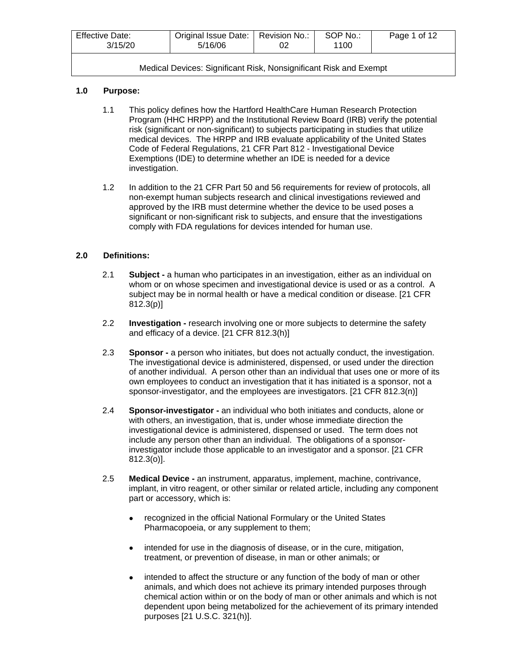| Effective Date: | Original Issue Date: | Revision No.: | SOP No.: | Page 1 of 12 |
|-----------------|----------------------|---------------|----------|--------------|
| 3/15/20         | 5/16/06              | 02            | 1100     |              |
|                 |                      |               |          |              |

# **1.0 Purpose:**

- 1.1 This policy defines how the Hartford HealthCare Human Research Protection Program (HHC HRPP) and the Institutional Review Board (IRB) verify the potential risk (significant or non-significant) to subjects participating in studies that utilize medical devices. The HRPP and IRB evaluate applicability of the United States Code of Federal Regulations, 21 CFR Part 812 - Investigational Device Exemptions (IDE) to determine whether an IDE is needed for a device investigation.
- 1.2 In addition to the 21 CFR Part 50 and 56 requirements for review of protocols, all non-exempt human subjects research and clinical investigations reviewed and approved by the IRB must determine whether the device to be used poses a significant or non-significant risk to subjects, and ensure that the investigations comply with FDA regulations for devices intended for human use.

# **2.0 Definitions:**

- 2.1 **Subject -** a human who participates in an investigation, either as an individual on whom or on whose specimen and investigational device is used or as a control. A subject may be in normal health or have a medical condition or disease. [21 CFR 812.3(p)]
- 2.2 **Investigation -** research involving one or more subjects to determine the safety and efficacy of a device. [21 CFR 812.3(h)]
- 2.3 **Sponsor -** a person who initiates, but does not actually conduct, the investigation. The investigational device is administered, dispensed, or used under the direction of another individual. A person other than an individual that uses one or more of its own employees to conduct an investigation that it has initiated is a sponsor, not a sponsor-investigator, and the employees are investigators. [21 CFR 812.3(n)]
- 2.4 **Sponsor-investigator -** an individual who both initiates and conducts, alone or with others, an investigation, that is, under whose immediate direction the investigational device is administered, dispensed or used. The term does not include any person other than an individual. The obligations of a sponsorinvestigator include those applicable to an investigator and a sponsor. [21 CFR 812.3(o)].
- 2.5 **Medical Device -** an instrument, apparatus, implement, machine, contrivance, implant, in vitro reagent, or other similar or related article, including any component part or accessory, which is:
	- recognized in the official National Formulary or the United States Pharmacopoeia, or any supplement to them;
	- intended for use in the diagnosis of disease, or in the cure, mitigation, treatment, or prevention of disease, in man or other animals; or
	- intended to affect the structure or any function of the body of man or other animals, and which does not achieve its primary intended purposes through chemical action within or on the body of man or other animals and which is not dependent upon being metabolized for the achievement of its primary intended purposes [21 U.S.C. 321(h)].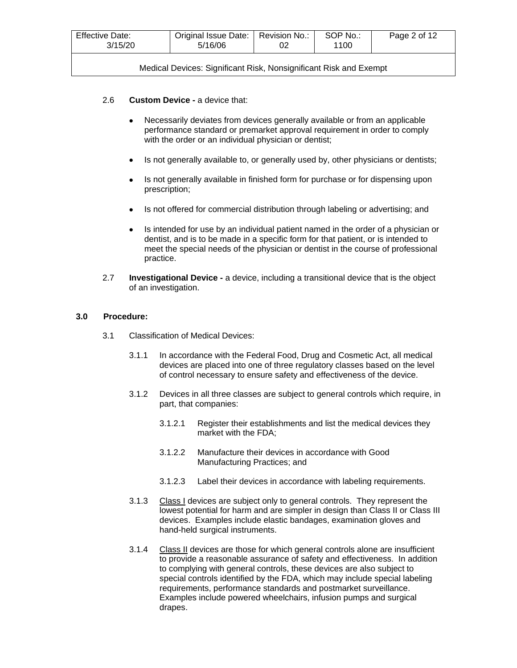| Effective Date:<br>3/15/20                                        | Original Issue Date:   Revision No.:<br>5/16/06 | 02 | SOP No.:<br>1100 | Page 2 of 12 |
|-------------------------------------------------------------------|-------------------------------------------------|----|------------------|--------------|
| Medical Devices: Significant Risk, Nonsignificant Risk and Exempt |                                                 |    |                  |              |

# 2.6 **Custom Device -** a device that:

- Necessarily deviates from devices generally available or from an applicable performance standard or premarket approval requirement in order to comply with the order or an individual physician or dentist;
- Is not generally available to, or generally used by, other physicians or dentists;
- Is not generally available in finished form for purchase or for dispensing upon prescription;
- Is not offered for commercial distribution through labeling or advertising; and
- Is intended for use by an individual patient named in the order of a physician or dentist, and is to be made in a specific form for that patient, or is intended to meet the special needs of the physician or dentist in the course of professional practice.
- 2.7 **Investigational Device -** a device, including a transitional device that is the object of an investigation.

# **3.0 Procedure:**

- 3.1 Classification of Medical Devices:
	- 3.1.1 In accordance with the Federal Food, Drug and Cosmetic Act, all medical devices are placed into one of three regulatory classes based on the level of control necessary to ensure safety and effectiveness of the device.
	- 3.1.2 Devices in all three classes are subject to general controls which require, in part, that companies:
		- 3.1.2.1 Register their establishments and list the medical devices they market with the FDA;
		- 3.1.2.2 Manufacture their devices in accordance with Good Manufacturing Practices; and
		- 3.1.2.3 Label their devices in accordance with labeling requirements.
	- 3.1.3 Class I devices are subject only to general controls. They represent the lowest potential for harm and are simpler in design than Class II or Class III devices. Examples include elastic bandages, examination gloves and hand-held surgical instruments.
	- 3.1.4 Class II devices are those for which general controls alone are insufficient to provide a reasonable assurance of safety and effectiveness. In addition to complying with general controls, these devices are also subject to special controls identified by the FDA, which may include special labeling requirements, performance standards and postmarket surveillance. Examples include powered wheelchairs, infusion pumps and surgical drapes.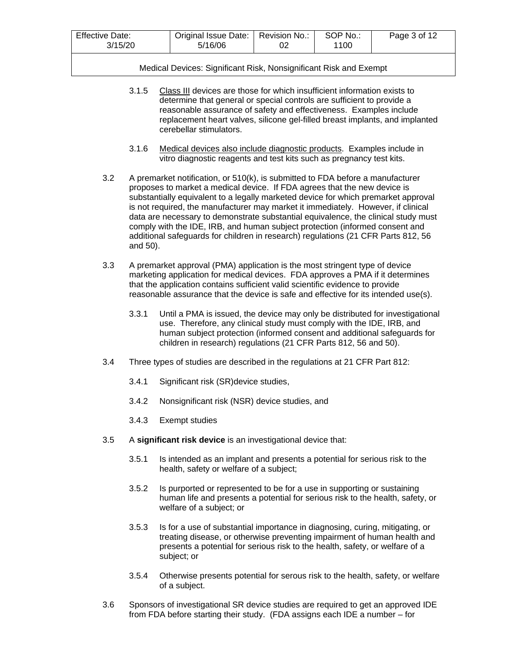| <b>Effective Date:</b> | Original Issue Date: | Revision No.: | SOP No.: | Page 3 of 12 |
|------------------------|----------------------|---------------|----------|--------------|
| 3/15/20                | 5/16/06              | 02            | 1100     |              |
|                        |                      |               |          |              |

- 3.1.5 Class III devices are those for which insufficient information exists to determine that general or special controls are sufficient to provide a reasonable assurance of safety and effectiveness. Examples include replacement heart valves, silicone gel-filled breast implants, and implanted cerebellar stimulators.
- 3.1.6 Medical devices also include diagnostic products. Examples include in vitro diagnostic reagents and test kits such as pregnancy test kits.
- 3.2 A premarket notification, or 510(k), is submitted to FDA before a manufacturer proposes to market a medical device. If FDA agrees that the new device is substantially equivalent to a legally marketed device for which premarket approval is not required, the manufacturer may market it immediately. However, if clinical data are necessary to demonstrate substantial equivalence, the clinical study must comply with the IDE, IRB, and human subject protection (informed consent and additional safeguards for children in research) regulations (21 CFR Parts 812, 56 and 50).
- 3.3 A premarket approval (PMA) application is the most stringent type of device marketing application for medical devices. FDA approves a PMA if it determines that the application contains sufficient valid scientific evidence to provide reasonable assurance that the device is safe and effective for its intended use(s).
	- 3.3.1 Until a PMA is issued, the device may only be distributed for investigational use. Therefore, any clinical study must comply with the IDE, IRB, and human subject protection (informed consent and additional safeguards for children in research) regulations (21 CFR Parts 812, 56 and 50).
- 3.4 Three types of studies are described in the regulations at 21 CFR Part 812:
	- 3.4.1 Significant risk (SR)device studies,
	- 3.4.2 Nonsignificant risk (NSR) device studies, and
	- 3.4.3 Exempt studies
- 3.5 A **significant risk device** is an investigational device that:
	- 3.5.1 Is intended as an implant and presents a potential for serious risk to the health, safety or welfare of a subject;
	- 3.5.2 Is purported or represented to be for a use in supporting or sustaining human life and presents a potential for serious risk to the health, safety, or welfare of a subject; or
	- 3.5.3 Is for a use of substantial importance in diagnosing, curing, mitigating, or treating disease, or otherwise preventing impairment of human health and presents a potential for serious risk to the health, safety, or welfare of a subject; or
	- 3.5.4 Otherwise presents potential for serous risk to the health, safety, or welfare of a subject.
- 3.6 Sponsors of investigational SR device studies are required to get an approved IDE from FDA before starting their study. (FDA assigns each IDE a number – for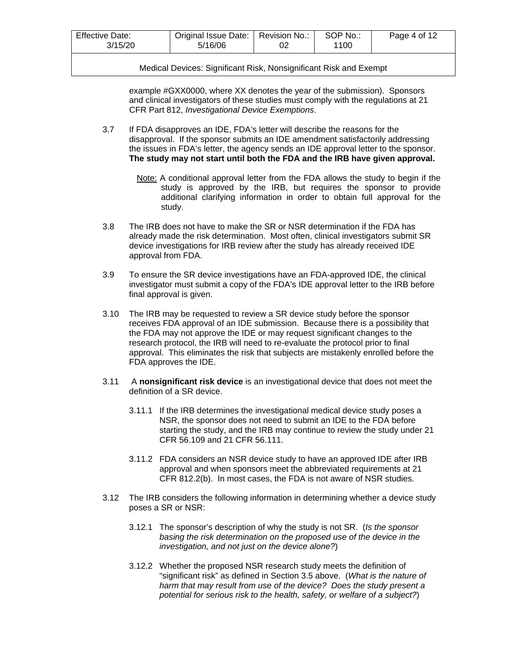| <b>Effective Date:</b> | Original Issue Date: | Revision No.: | SOP No.: | Page 4 of 12 |
|------------------------|----------------------|---------------|----------|--------------|
| 3/15/20                | 5/16/06              | 02            | 1100     |              |
|                        |                      |               |          |              |

example #GXX0000, where XX denotes the year of the submission). Sponsors and clinical investigators of these studies must comply with the regulations at 21 CFR Part 812, *Investigational Device Exemptions*.

- 3.7 If FDA disapproves an IDE, FDA's letter will describe the reasons for the disapproval. If the sponsor submits an IDE amendment satisfactorily addressing the issues in FDA's letter, the agency sends an IDE approval letter to the sponsor. **The study may not start until both the FDA and the IRB have given approval.**
	- Note: A conditional approval letter from the FDA allows the study to begin if the study is approved by the IRB, but requires the sponsor to provide additional clarifying information in order to obtain full approval for the study.
- 3.8 The IRB does not have to make the SR or NSR determination if the FDA has already made the risk determination. Most often, clinical investigators submit SR device investigations for IRB review after the study has already received IDE approval from FDA.
- 3.9 To ensure the SR device investigations have an FDA-approved IDE, the clinical investigator must submit a copy of the FDA's IDE approval letter to the IRB before final approval is given.
- 3.10 The IRB may be requested to review a SR device study before the sponsor receives FDA approval of an IDE submission. Because there is a possibility that the FDA may not approve the IDE or may request significant changes to the research protocol, the IRB will need to re-evaluate the protocol prior to final approval. This eliminates the risk that subjects are mistakenly enrolled before the FDA approves the IDE.
- 3.11 A **nonsignificant risk device** is an investigational device that does not meet the definition of a SR device.
	- 3.11.1 If the IRB determines the investigational medical device study poses a NSR, the sponsor does not need to submit an IDE to the FDA before starting the study, and the IRB may continue to review the study under 21 CFR 56.109 and 21 CFR 56.111.
	- 3.11.2 FDA considers an NSR device study to have an approved IDE after IRB approval and when sponsors meet the abbreviated requirements at 21 CFR 812.2(b). In most cases, the FDA is not aware of NSR studies.
- 3.12 The IRB considers the following information in determining whether a device study poses a SR or NSR:
	- 3.12.1 The sponsor's description of why the study is not SR. (*Is the sponsor basing the risk determination on the proposed use of the device in the investigation, and not just on the device alone?*)
	- 3.12.2 Whether the proposed NSR research study meets the definition of "significant risk" as defined in Section 3.5 above. (*What is the nature of harm that may result from use of the device? Does the study present a potential for serious risk to the health, safety, or welfare of a subject?*)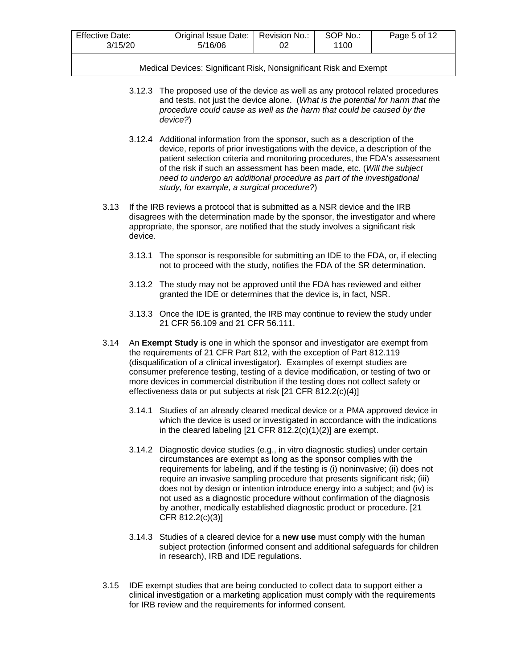| <b>Effective Date:</b> | Original Issue Date: | Revision No.: | SOP No.: | Page 5 of 12 |
|------------------------|----------------------|---------------|----------|--------------|
| 3/15/20                | 5/16/06              | 02            | 1100     |              |
|                        |                      |               |          |              |

- 3.12.3 The proposed use of the device as well as any protocol related procedures and tests, not just the device alone. (*What is the potential for harm that the procedure could cause as well as the harm that could be caused by the device?*)
- 3.12.4 Additional information from the sponsor, such as a description of the device, reports of prior investigations with the device, a description of the patient selection criteria and monitoring procedures, the FDA's assessment of the risk if such an assessment has been made, etc. (*Will the subject need to undergo an additional procedure as part of the investigational study, for example, a surgical procedure?*)
- 3.13 If the IRB reviews a protocol that is submitted as a NSR device and the IRB disagrees with the determination made by the sponsor, the investigator and where appropriate, the sponsor, are notified that the study involves a significant risk device.
	- 3.13.1 The sponsor is responsible for submitting an IDE to the FDA, or, if electing not to proceed with the study, notifies the FDA of the SR determination.
	- 3.13.2 The study may not be approved until the FDA has reviewed and either granted the IDE or determines that the device is, in fact, NSR.
	- 3.13.3 Once the IDE is granted, the IRB may continue to review the study under 21 CFR 56.109 and 21 CFR 56.111.
- 3.14 An **Exempt Study** is one in which the sponsor and investigator are exempt from the requirements of 21 CFR Part 812, with the exception of Part 812.119 (disqualification of a clinical investigator). Examples of exempt studies are consumer preference testing, testing of a device modification, or testing of two or more devices in commercial distribution if the testing does not collect safety or effectiveness data or put subjects at risk [21 CFR 812.2(c)(4)]
	- 3.14.1 Studies of an already cleared medical device or a PMA approved device in which the device is used or investigated in accordance with the indications in the cleared labeling  $[21$  CFR  $812.2(c)(1)(2)]$  are exempt.
	- 3.14.2 Diagnostic device studies (e.g., in vitro diagnostic studies) under certain circumstances are exempt as long as the sponsor complies with the requirements for labeling, and if the testing is (i) noninvasive; (ii) does not require an invasive sampling procedure that presents significant risk; (iii) does not by design or intention introduce energy into a subject; and (iv) is not used as a diagnostic procedure without confirmation of the diagnosis by another, medically established diagnostic product or procedure. [21 CFR 812.2(c)(3)]
	- 3.14.3 Studies of a cleared device for a **new use** must comply with the human subject protection (informed consent and additional safeguards for children in research), IRB and IDE regulations.
- 3.15 IDE exempt studies that are being conducted to collect data to support either a clinical investigation or a marketing application must comply with the requirements for IRB review and the requirements for informed consent.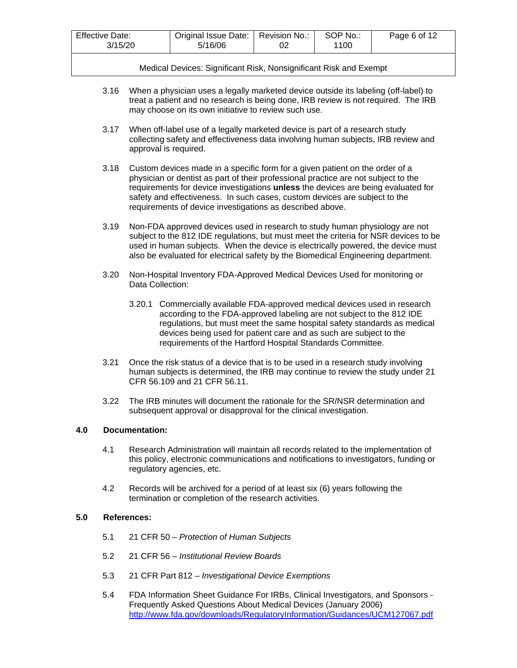| <b>Effective Date:</b> | Original Issue Date: | Revision No.: | SOP No.: | Page 6 of 12 |
|------------------------|----------------------|---------------|----------|--------------|
| 3/15/20                | 5/16/06              | 02            | 1100     |              |
|                        |                      |               |          |              |

- 3.16 When a physician uses a legally marketed device outside its labeling (off-label) to treat a patient and no research is being done, IRB review is not required. The IRB may choose on its own initiative to review such use.
- 3.17 When off-label use of a legally marketed device is part of a research study collecting safety and effectiveness data involving human subjects, IRB review and approval is required.
- 3.18 Custom devices made in a specific form for a given patient on the order of a physician or dentist as part of their professional practice are not subject to the requirements for device investigations **unless** the devices are being evaluated for safety and effectiveness. In such cases, custom devices are subject to the requirements of device investigations as described above.
- 3.19 Non-FDA approved devices used in research to study human physiology are not subject to the 812 IDE regulations, but must meet the criteria for NSR devices to be used in human subjects. When the device is electrically powered, the device must also be evaluated for electrical safety by the Biomedical Engineering department.
- 3.20 Non-Hospital Inventory FDA-Approved Medical Devices Used for monitoring or Data Collection:
	- 3.20.1 Commercially available FDA-approved medical devices used in research according to the FDA-approved labeling are not subject to the 812 IDE regulations, but must meet the same hospital safety standards as medical devices being used for patient care and as such are subject to the requirements of the Hartford Hospital Standards Committee.
- 3.21 Once the risk status of a device that is to be used in a research study involving human subjects is determined, the IRB may continue to review the study under 21 CFR 56.109 and 21 CFR 56.11.
- 3.22 The IRB minutes will document the rationale for the SR/NSR determination and subsequent approval or disapproval for the clinical investigation.

## **4.0 Documentation:**

- 4.1 Research Administration will maintain all records related to the implementation of this policy, electronic communications and notifications to investigators, funding or regulatory agencies, etc.
- 4.2 Records will be archived for a period of at least six (6) years following the termination or completion of the research activities.

## **5.0 References:**

- 5.1 21 CFR 50 *Protection of Human Subjects*
- 5.2 21 CFR 56 *Institutional Review Boards*
- 5.3 21 CFR Part 812 *Investigational Device Exemptions*
- 5.4 FDA Information Sheet Guidance For IRBs, Clinical Investigators, and Sponsors Frequently Asked Questions About Medical Devices (January 2006) <http://www.fda.gov/downloads/RegulatoryInformation/Guidances/UCM127067.pdf>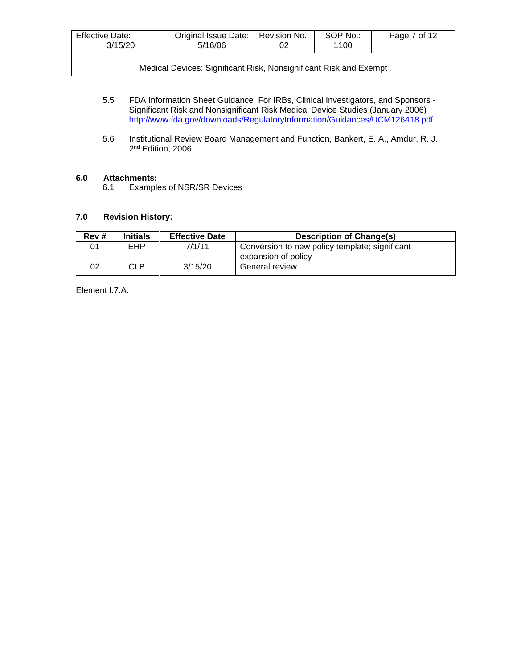| <b>Effective Date:</b><br>3/15/20                                 | Original Issue Date:   Revision No.:<br>5/16/06 |  | SOP No.:<br>1100 | Page 7 of 12 |
|-------------------------------------------------------------------|-------------------------------------------------|--|------------------|--------------|
| Medical Devices: Significant Risk, Nonsignificant Risk and Exempt |                                                 |  |                  |              |

- 5.5 FDA Information Sheet Guidance For IRBs, Clinical Investigators, and Sponsors Significant Risk and Nonsignificant Risk Medical Device Studies (January 2006) <http://www.fda.gov/downloads/RegulatoryInformation/Guidances/UCM126418.pdf>
- 5.6 Institutional Review Board Management and Function, Bankert, E. A., Amdur, R. J., 2<sup>nd</sup> Edition, 2006

# **6.0 Attachments:**

Examples of NSR/SR Devices

# **7.0 Revision History:**

| Rev# | <b>Initials</b> | <b>Effective Date</b> | <b>Description of Change(s)</b>                |
|------|-----------------|-----------------------|------------------------------------------------|
| 01   | EHP             | 7/1/11                | Conversion to new policy template; significant |
|      |                 |                       | expansion of policy                            |
| 02   | CLB             | 3/15/20               | General review.                                |

Element I.7.A.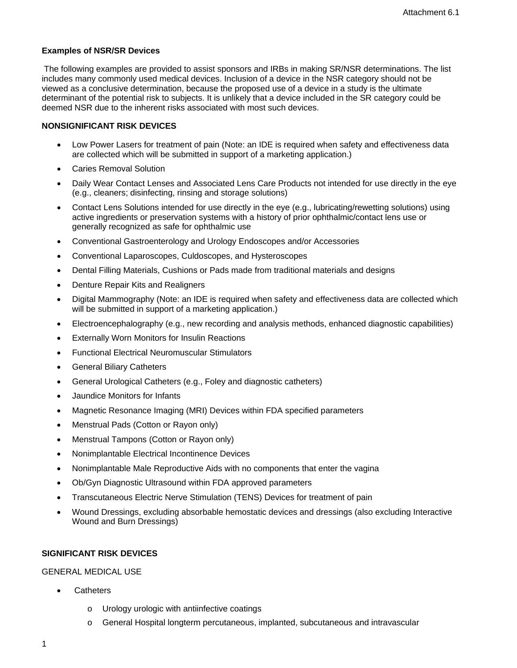# **Examples of NSR/SR Devices**

The following examples are provided to assist sponsors and IRBs in making SR/NSR determinations. The list includes many commonly used medical devices. Inclusion of a device in the NSR category should not be viewed as a conclusive determination, because the proposed use of a device in a study is the ultimate determinant of the potential risk to subjects. It is unlikely that a device included in the SR category could be deemed NSR due to the inherent risks associated with most such devices.

# **NONSIGNIFICANT RISK DEVICES**

- Low Power Lasers for treatment of pain (Note: an IDE is required when safety and effectiveness data are collected which will be submitted in support of a marketing application.)
- Caries Removal Solution
- Daily Wear Contact Lenses and Associated Lens Care Products not intended for use directly in the eye (e.g., cleaners; disinfecting, rinsing and storage solutions)
- Contact Lens Solutions intended for use directly in the eye (e.g., lubricating/rewetting solutions) using active ingredients or preservation systems with a history of prior ophthalmic/contact lens use or generally recognized as safe for ophthalmic use
- Conventional Gastroenterology and Urology Endoscopes and/or Accessories
- Conventional Laparoscopes, Culdoscopes, and Hysteroscopes
- Dental Filling Materials, Cushions or Pads made from traditional materials and designs
- Denture Repair Kits and Realigners
- Digital Mammography (Note: an IDE is required when safety and effectiveness data are collected which will be submitted in support of a marketing application.)
- Electroencephalography (e.g., new recording and analysis methods, enhanced diagnostic capabilities)
- **Externally Worn Monitors for Insulin Reactions**
- Functional Electrical Neuromuscular Stimulators
- General Biliary Catheters
- General Urological Catheters (e.g., Foley and diagnostic catheters)
- Jaundice Monitors for Infants
- Magnetic Resonance Imaging (MRI) Devices within FDA specified parameters
- Menstrual Pads (Cotton or Rayon only)
- Menstrual Tampons (Cotton or Rayon only)
- Nonimplantable Electrical Incontinence Devices
- Nonimplantable Male Reproductive Aids with no components that enter the vagina
- Ob/Gyn Diagnostic Ultrasound within FDA approved parameters
- Transcutaneous Electric Nerve Stimulation (TENS) Devices for treatment of pain
- Wound Dressings, excluding absorbable hemostatic devices and dressings (also excluding Interactive Wound and Burn Dressings)

# **SIGNIFICANT RISK DEVICES**

## GENERAL MEDICAL USE

- **Catheters** 
	- o Urology urologic with antiinfective coatings
	- o General Hospital longterm percutaneous, implanted, subcutaneous and intravascular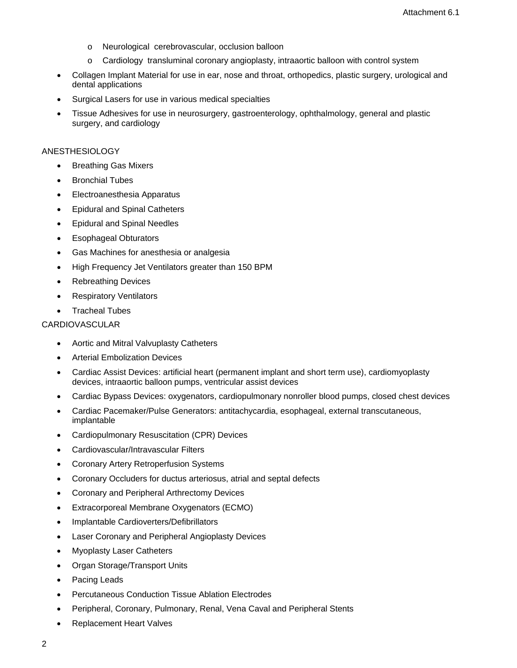- o Neurological cerebrovascular, occlusion balloon
- o Cardiology transluminal coronary angioplasty, intraaortic balloon with control system
- Collagen Implant Material for use in ear, nose and throat, orthopedics, plastic surgery, urological and dental applications
- Surgical Lasers for use in various medical specialties
- Tissue Adhesives for use in neurosurgery, gastroenterology, ophthalmology, general and plastic surgery, and cardiology

#### ANESTHESIOLOGY

- Breathing Gas Mixers
- **Bronchial Tubes**
- Electroanesthesia Apparatus
- Epidural and Spinal Catheters
- Epidural and Spinal Needles
- Esophageal Obturators
- Gas Machines for anesthesia or analgesia
- High Frequency Jet Ventilators greater than 150 BPM
- Rebreathing Devices
- Respiratory Ventilators
- Tracheal Tubes

## CARDIOVASCULAR

- Aortic and Mitral Valvuplasty Catheters
- Arterial Embolization Devices
- Cardiac Assist Devices: artificial heart (permanent implant and short term use), cardiomyoplasty devices, intraaortic balloon pumps, ventricular assist devices
- Cardiac Bypass Devices: oxygenators, cardiopulmonary nonroller blood pumps, closed chest devices
- Cardiac Pacemaker/Pulse Generators: antitachycardia, esophageal, external transcutaneous, implantable
- Cardiopulmonary Resuscitation (CPR) Devices
- Cardiovascular/Intravascular Filters
- Coronary Artery Retroperfusion Systems
- Coronary Occluders for ductus arteriosus, atrial and septal defects
- Coronary and Peripheral Arthrectomy Devices
- Extracorporeal Membrane Oxygenators (ECMO)
- Implantable Cardioverters/Defibrillators
- Laser Coronary and Peripheral Angioplasty Devices
- Myoplasty Laser Catheters
- Organ Storage/Transport Units
- Pacing Leads
- Percutaneous Conduction Tissue Ablation Electrodes
- Peripheral, Coronary, Pulmonary, Renal, Vena Caval and Peripheral Stents
- Replacement Heart Valves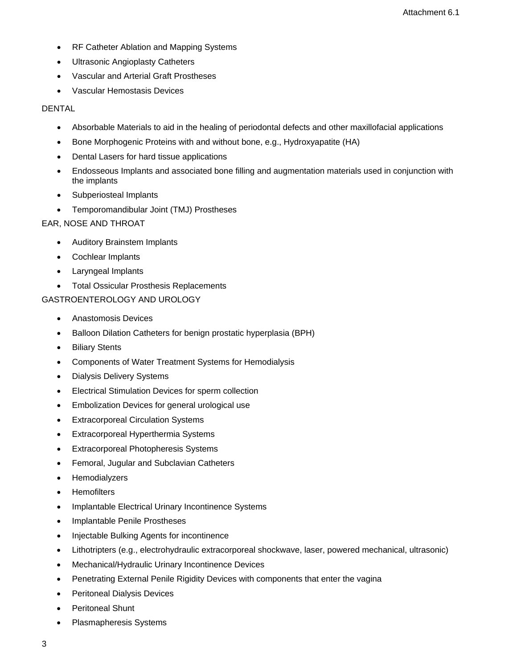- RF Catheter Ablation and Mapping Systems
- Ultrasonic Angioplasty Catheters
- Vascular and Arterial Graft Prostheses
- Vascular Hemostasis Devices

# DENTAL

- Absorbable Materials to aid in the healing of periodontal defects and other maxillofacial applications
- Bone Morphogenic Proteins with and without bone, e.g., Hydroxyapatite (HA)
- Dental Lasers for hard tissue applications
- Endosseous Implants and associated bone filling and augmentation materials used in conjunction with the implants
- Subperiosteal Implants
- Temporomandibular Joint (TMJ) Prostheses

EAR, NOSE AND THROAT

- Auditory Brainstem Implants
- Cochlear Implants
- Laryngeal Implants
- Total Ossicular Prosthesis Replacements

GASTROENTEROLOGY AND UROLOGY

- Anastomosis Devices
- Balloon Dilation Catheters for benign prostatic hyperplasia (BPH)
- **Biliary Stents**
- Components of Water Treatment Systems for Hemodialysis
- Dialysis Delivery Systems
- Electrical Stimulation Devices for sperm collection
- Embolization Devices for general urological use
- **Extracorporeal Circulation Systems**
- Extracorporeal Hyperthermia Systems
- Extracorporeal Photopheresis Systems
- Femoral, Jugular and Subclavian Catheters
- Hemodialyzers
- Hemofilters
- Implantable Electrical Urinary Incontinence Systems
- Implantable Penile Prostheses
- Injectable Bulking Agents for incontinence
- Lithotripters (e.g., electrohydraulic extracorporeal shockwave, laser, powered mechanical, ultrasonic)
- Mechanical/Hydraulic Urinary Incontinence Devices
- Penetrating External Penile Rigidity Devices with components that enter the vagina
- Peritoneal Dialysis Devices
- Peritoneal Shunt
- Plasmapheresis Systems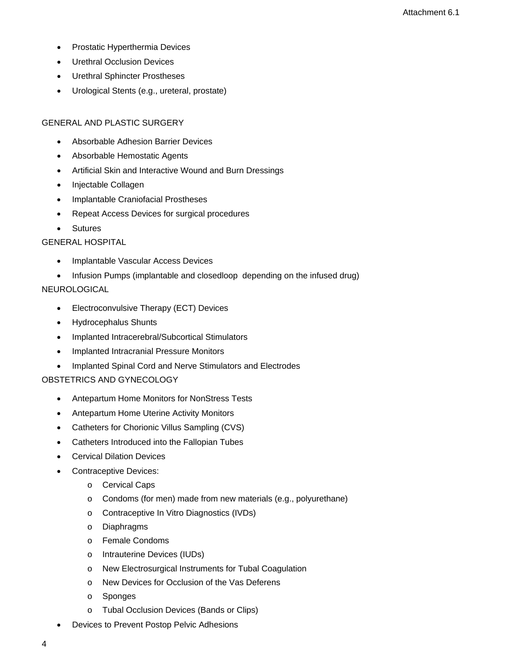- Prostatic Hyperthermia Devices
- Urethral Occlusion Devices
- Urethral Sphincter Prostheses
- Urological Stents (e.g., ureteral, prostate)

# GENERAL AND PLASTIC SURGERY

- Absorbable Adhesion Barrier Devices
- Absorbable Hemostatic Agents
- Artificial Skin and Interactive Wound and Burn Dressings
- Injectable Collagen
- Implantable Craniofacial Prostheses
- Repeat Access Devices for surgical procedures
- Sutures

# GENERAL HOSPITAL

- Implantable Vascular Access Devices
- Infusion Pumps (implantable and closedloop depending on the infused drug)

# NEUROLOGICAL

- Electroconvulsive Therapy (ECT) Devices
- Hydrocephalus Shunts
- Implanted Intracerebral/Subcortical Stimulators
- Implanted Intracranial Pressure Monitors
- Implanted Spinal Cord and Nerve Stimulators and Electrodes

## OBSTETRICS AND GYNECOLOGY

- Antepartum Home Monitors for NonStress Tests
- Antepartum Home Uterine Activity Monitors
- Catheters for Chorionic Villus Sampling (CVS)
- Catheters Introduced into the Fallopian Tubes
- Cervical Dilation Devices
	- Contraceptive Devices:
		- o Cervical Caps
		- o Condoms (for men) made from new materials (e.g., polyurethane)
		- o Contraceptive In Vitro Diagnostics (IVDs)
		- o Diaphragms
		- o Female Condoms
		- o Intrauterine Devices (IUDs)
		- o New Electrosurgical Instruments for Tubal Coagulation
		- o New Devices for Occlusion of the Vas Deferens
		- o Sponges
		- o Tubal Occlusion Devices (Bands or Clips)
- Devices to Prevent Postop Pelvic Adhesions